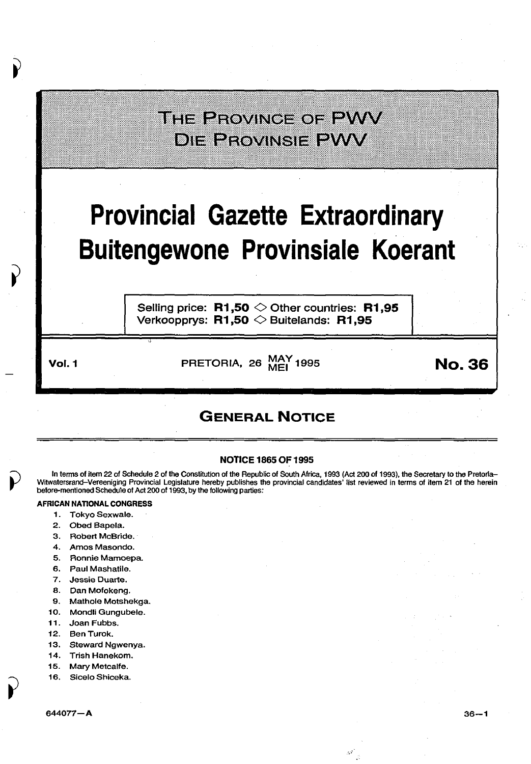## THE PROVINGE OF PWV **DIE PROVINSIE PWV**

# **Provincial Gazette Extraordinary Buitengewone Provinsiale Koerant**

Selling price: **R1,50**  $\diamond$  Other countries: **R1,95** Verkoopprys: **R1** ,50 <> Buitelands: **R1** ,95

Vol.1 PRETORIA, 26 MAy 1995 MEl **No.36** 

### **GENERAL NOTICE**

#### NOTICE 1865 OF 1995

In terms of item 22 of Schedule 2 of the Constitution of the Republic of South Africa, 1993 (Act 200 of 1993), the Secretary to the Pretorla-Witwatersrand-Vereeniging Provincial Legislature hereby publishes the provincial candidates' list reviewed in terms of item 21 of the herein before-mentioned Schedule of Act 200 of 1993, by the following parties:

#### AFRICAN NATIONAL CONGRESS

- 1. Tokyo Sexwale.
- 2. Obed Bapela.
- 3. Robert McBride.
- 4. Amos Masondo.
- 5. Ronnie Mamoepa.
- 6. Paul Mashatile.
- 7. Jessie Duarte.
- 8. Dan Mofokeng.
- 9. Mathole Motshekga.
- 10. Mondli Gungubele.
- 11. Joan Fubbs.
- 
- 12. BenTurok.
- 13. Steward Ngwenya.
- 14. Trish Hanekom.
- 15. Mary Metcalfe.
- 16. Sicelo Shiceka.

*-.,:*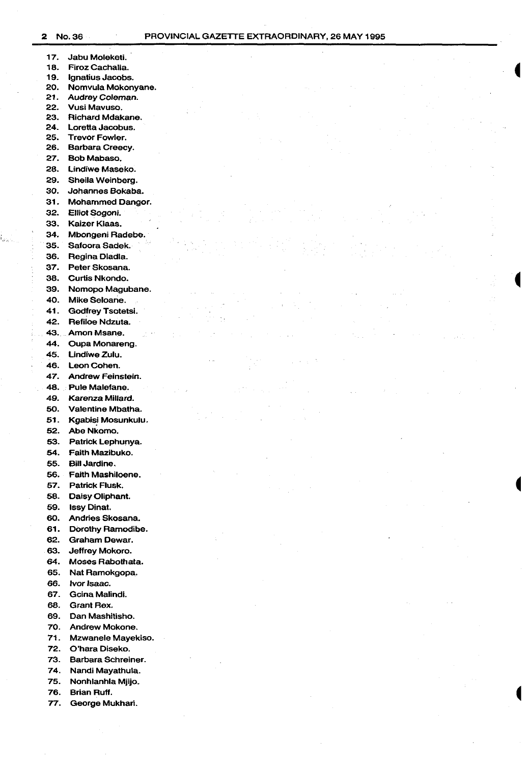- 17. Jabu Moleketi.<br>18. Firoz Cachalia 18. Firoz Cachalia.<br>19. Ignatius Jacobs 19. Ignatius Jacobs.<br>20. Nomvula Mokon 20. Nomvula Mokonyane.<br>21. Audrey Coleman. 21. Audrey Coleman.<br>22. Vusi Mavuso. 22. Vusi Mavuso.<br>23. Richard Mdak 23. Richard Mdakane. 24. Loretta Jacobus. 25. Trevor Fowler. 26. Barbara Creecy. 27. Bob Mabaso. 28. Lindiwe Maseko. 29. Sheila Weinberg. 30. Johannes Bokaba. 31. Mohammed Danger. 32. Elliot Sogoni. 33. Kaizer Klaas. 34. Mbongeni Radebe. 35. Safoora Sadek. 36. Regina Dladla. 37. Peter Skosana. 38. Curtis Nkondo. 39. Nomopo Magubane. 40. Mike Seloane. 41. Godfrey Tsotetsi. 42. Refiloe Ndzuta. 43. Amon Msane. 44. Oupa Monareng. 45. Lindiwe Zulu. 46. Leon Cohen. 47. Andrew Feinstein. 48. Pule Malefane. 49. Karenza Millard. 50. Valentine Mbatha. 51. Kgabis) Mosunkulu. 52. Abe Nkomo. 53. Patrick Lephunya. 54. Faith Mazibuko. 55. Bill Jardine. 56. Faith Mashiloene. 57. Patrick Flusk. 58. Daisy Oliphant. 59. lssy Dinat. 60. Andries Skosana. 61. Dorothy Ramodibe.
	- 62. Graham Dewar.
	- 63. Jeffrey Mokoro.
	- 64. Moses Rabothata.
	- 65. Nat Ramokgopa.
	- 66. lvor Isaac.
	- 67. Gcina Malindi.
	- 68. Grant Rex.
	- 69. Dan Mashitisho.
	- 70. Andrew Mokone.
	- 71. Mzwanele Mayekiso.
	- 72. O'hara Diseko.
	- 73. Barbara Schreiner.
	- 74. Nandi Mayathula.
	- 75. Nonhlanhla Mjijo.
	- 76. Brian Ruff.
	- 77. George Mukhari.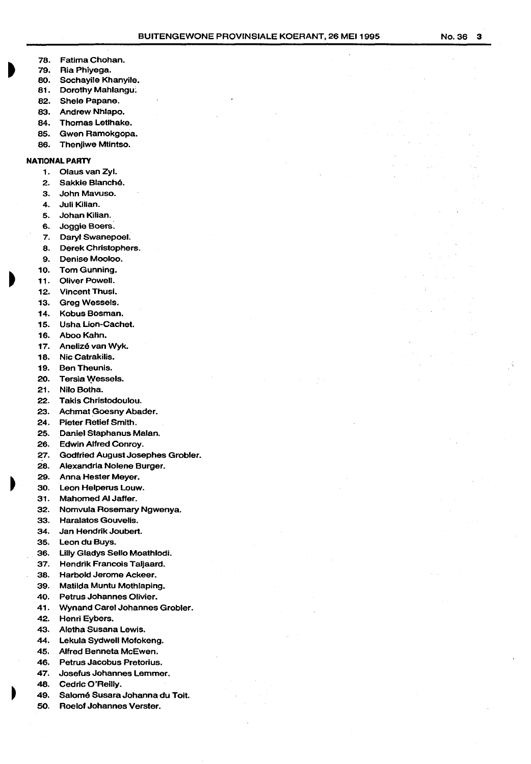- 76. Fatima Chohan.
- 79. Ria Phiyega.
- 80. Sochayile Khanyile.
- 81. Dorothy Mahlangu;
- 82. Shele Papane.
- 83. Andrew Nhlapo.
- 84. Thomas Letlhake.
- 65. Gwen Ramokgopa.
- 86. Thenjiwe Mtintso.

#### **NATIONAL PARTY**

- 1. Claus van Zyl.
- 2. Sakkie Blanché.
- 3. John Mavuso.
- 4. Juli Kilian.
- 5. Johan Kilian.
- 6. Joggle Boers.
- 7. Daryl Swanepoel.
- a. Derek Christophers.
- 9. Denise Mooloo.
- 10. Tom Gunning.
- 11. Oliver Powell.
- 12. Vincent Thusl.
- 13. Greg Wessels.
- 14. Kobus Bosman.
- 15. Usha Lion-Cachet.
- 16. Aboo Kahn.
- 17. Anelizé van Wyk.
- 18. Nic Catrakilis.
- 19. Ben Theunis.
- 20. Tersia Wessels.
- 21. Nilo Botha.
- 22. Takls Christodoulou.
- 23. Achmat Goesny Abader.
- 24. Pieter Retief Smith.
- 25. Daniel Staphanus Malan.
- 
- 26. Edwin Alfred Conroy.
- 27. Godfried August Josephes Grobler.
- 26. Alexandria Nolene Burger.
- 29. Anna Hester Meyer.
- 30. Leon Helperus Louw.
- 31. Mahomed AI Jaffer.
- 32. Nomvula Rosemary Ngwenya.
- 33. Haralatos Gouvelis.
- 34. Jan Hendrik Joubert.
- 35. Leon du Buys.
- 36. Lilly Gladys Sello Moathlodi.
- 37. Hendrik Francois Taljaard.
- 36. Harbold Jerome Ackeer.
- 39. Matilda Muntu Mothlaping.
- 
- 40. Petrus Johannes Olivier.
- 41. Wynand Carel Johannes Grobler.
- 42. Henri Eybers.
- 43. Aletha Susana Lewis.
- 44. Lekula Sydwell Mofokeng.
- 45. Alfred Benneta McEwen.
- 46. Petrus Jacobus Pretorius.
- 47. Josefus Johannes Lemmer.
- 48. Cedric O'Reilly.
- 49. Salomé Susara Johanna du Toit.
- 50. Roelof Johannes Verster.